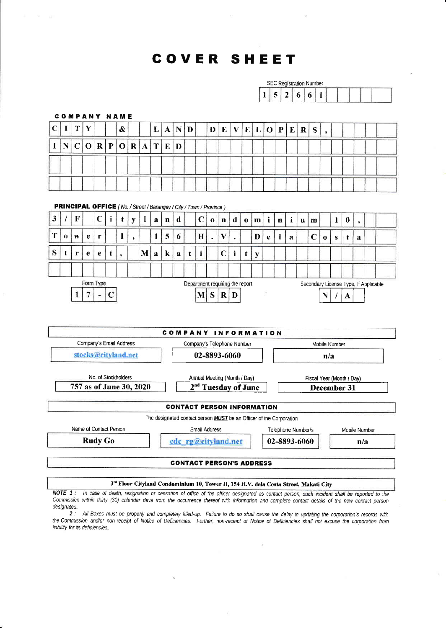# COVER SHEET

 $\Xi^-$  at

|                                                                                |                                                                                 | <b>SEC Registration Number</b> |             |              |             |                         |                          |              |              |              |                                 |              |             |              |              |                                 |              |   |                                                                                      |             |              |              |             |                                       |              |           |                          |  |  |  |
|--------------------------------------------------------------------------------|---------------------------------------------------------------------------------|--------------------------------|-------------|--------------|-------------|-------------------------|--------------------------|--------------|--------------|--------------|---------------------------------|--------------|-------------|--------------|--------------|---------------------------------|--------------|---|--------------------------------------------------------------------------------------|-------------|--------------|--------------|-------------|---------------------------------------|--------------|-----------|--------------------------|--|--|--|
|                                                                                |                                                                                 |                                |             |              |             |                         |                          |              |              |              |                                 |              |             |              |              |                                 |              |   | 1                                                                                    | 5           | $\mathbf{2}$ | 6            | 6           | $\mathbf{1}$                          |              |           |                          |  |  |  |
|                                                                                |                                                                                 |                                |             |              |             |                         |                          |              |              |              |                                 |              |             |              |              |                                 |              |   |                                                                                      |             |              |              |             |                                       |              |           |                          |  |  |  |
| <b>COMPANY NAME</b>                                                            |                                                                                 |                                |             |              |             |                         |                          |              |              |              |                                 |              |             |              |              |                                 |              |   |                                                                                      |             |              |              |             |                                       |              |           |                          |  |  |  |
| $\mathbf C$                                                                    | I                                                                               | T                              | Y           |              |             | &                       |                          |              | L            | $\mathbf{A}$ | $\vert N \vert$                 | $\mathbf{D}$ |             | D            | $\mathbf{E}$ | $\mathbf{V}$                    | $\mathbf{E}$ | L | $\mathbf{O}$                                                                         | $ {\bf P} $ | $\mathbf{E}$ | $\mathbf{R}$ | S.          | $\overline{ }$                        |              |           |                          |  |  |  |
| $\bf{I}$                                                                       | N                                                                               | $\mathbf C$                    | $\mathbf 0$ | $\bf{R}$     | $\mathbf P$ | $\mathbf O$             | $\bf R$                  | $\mathbf{A}$ | T            | ${\bf E}$    | D                               |              |             |              |              |                                 |              |   |                                                                                      |             |              |              |             |                                       |              |           |                          |  |  |  |
|                                                                                |                                                                                 |                                |             |              |             |                         |                          |              |              |              |                                 |              |             |              |              |                                 |              |   |                                                                                      |             |              |              |             |                                       |              |           |                          |  |  |  |
|                                                                                |                                                                                 |                                |             |              |             |                         |                          |              |              |              |                                 |              |             |              |              |                                 |              |   |                                                                                      |             |              |              |             |                                       |              |           |                          |  |  |  |
|                                                                                |                                                                                 |                                |             |              |             |                         |                          |              |              |              |                                 |              |             |              |              |                                 |              |   |                                                                                      |             |              |              |             |                                       |              |           |                          |  |  |  |
| <b>PRINCIPAL OFFICE</b> ( No. / Street / Barangay / City / Town / Province )   |                                                                                 |                                |             |              |             |                         |                          |              |              |              |                                 |              |             |              |              |                                 |              |   |                                                                                      |             |              |              |             |                                       |              |           |                          |  |  |  |
| $\mathbf{3}$                                                                   |                                                                                 | $\mathbf F$                    |             | $\mathbf C$  | i           | t                       | y                        | 1            | $\bf{a}$     | $\mathbf{n}$ | $\mathbf d$                     |              | $\mathbf C$ | $\mathbf{0}$ | $\mathbf n$  | $\mathbf d$                     | $\mathbf 0$  | m | i                                                                                    | $\mathbf n$ | $\mathbf{i}$ | u            | m           |                                       | $\mathbf{1}$ | $\pmb{0}$ |                          |  |  |  |
|                                                                                |                                                                                 |                                |             |              |             |                         |                          |              |              |              |                                 |              |             |              |              |                                 |              |   |                                                                                      |             |              |              |             |                                       |              |           | $\overline{\phantom{a}}$ |  |  |  |
| T                                                                              | $\bf{0}$                                                                        | W                              | $\mathbf e$ | $\mathbf{r}$ |             | 1                       | $\overline{\phantom{a}}$ |              | $\mathbf{1}$ | 5            | $\boldsymbol{6}$                |              | $\bf{H}$    |              | $\mathbf{V}$ |                                 |              | D | e                                                                                    | ł           | a            |              | $\mathbf C$ | $\bf o$                               | $\mathbf{s}$ | t         | $\mathbf{a}$             |  |  |  |
| S                                                                              | t                                                                               | r                              | $\mathbf e$ | e            | t           | $\overline{\mathbf{z}}$ |                          | M            | a            | k            | a                               | t            | i           |              | $\mathbf C$  | i                               | t            | y |                                                                                      |             |              |              |             |                                       |              |           |                          |  |  |  |
|                                                                                |                                                                                 |                                |             |              |             |                         |                          |              |              |              |                                 |              |             |              |              |                                 |              |   |                                                                                      |             |              |              |             |                                       |              |           |                          |  |  |  |
|                                                                                |                                                                                 |                                | Form Type   |              |             |                         |                          |              |              |              |                                 |              |             |              |              | Department requiring the report |              |   |                                                                                      |             |              |              |             | Secondary License Type, If Applicable |              |           |                          |  |  |  |
|                                                                                | $\mathbf C$<br>7<br>S<br>1<br>$\mathbf{M}$<br>$R$ D<br>$\overline{\phantom{a}}$ |                                |             |              |             |                         |                          |              |              |              |                                 |              |             |              | N<br>A       |                                 |              |   |                                                                                      |             |              |              |             |                                       |              |           |                          |  |  |  |
|                                                                                |                                                                                 |                                |             |              |             |                         |                          |              |              |              |                                 |              |             |              |              |                                 |              |   |                                                                                      |             |              |              |             |                                       |              |           |                          |  |  |  |
|                                                                                |                                                                                 |                                |             |              |             |                         |                          |              |              |              |                                 |              |             |              |              |                                 |              |   |                                                                                      |             |              |              |             |                                       |              |           |                          |  |  |  |
|                                                                                |                                                                                 |                                |             |              |             |                         |                          |              |              |              | COMPANY INFORMATION             |              |             |              |              |                                 |              |   |                                                                                      |             |              |              |             |                                       |              |           |                          |  |  |  |
|                                                                                |                                                                                 |                                |             |              |             | Company's Email Address |                          |              |              |              |                                 |              |             |              |              | Company's Telephone Number      |              |   |                                                                                      |             |              |              |             | Mobile Number                         |              |           |                          |  |  |  |
|                                                                                |                                                                                 |                                |             |              |             | stocks@cityland.net     |                          |              |              |              |                                 |              |             |              |              | 02-8893-6060                    |              |   |                                                                                      |             |              |              |             |                                       | n/a          |           |                          |  |  |  |
|                                                                                |                                                                                 |                                |             |              |             | No. of Stockholders     |                          |              |              |              |                                 |              |             |              |              |                                 |              |   |                                                                                      |             |              |              |             |                                       |              |           |                          |  |  |  |
|                                                                                |                                                                                 |                                |             |              |             |                         |                          |              |              |              |                                 |              |             |              |              | Annual Meeting (Month / Day)    |              |   | Fiscal Year (Month / Day)<br>December 31                                             |             |              |              |             |                                       |              |           |                          |  |  |  |
| 757 as of June 30, 2020<br>2 <sup>nd</sup> Tuesday of June                     |                                                                                 |                                |             |              |             |                         |                          |              |              |              |                                 |              |             |              |              |                                 |              |   |                                                                                      |             |              |              |             |                                       |              |           |                          |  |  |  |
| <b>CONTACT PERSON INFORMATION</b>                                              |                                                                                 |                                |             |              |             |                         |                          |              |              |              |                                 |              |             |              |              |                                 |              |   |                                                                                      |             |              |              |             |                                       |              |           |                          |  |  |  |
| The designated contact person <b>MUST</b> be an Officer of the Corporation     |                                                                                 |                                |             |              |             |                         |                          |              |              |              |                                 |              |             |              |              |                                 |              |   |                                                                                      |             |              |              |             |                                       |              |           |                          |  |  |  |
| Name of Contact Person<br>Email Address<br>Telephone Number/s<br>Mobile Number |                                                                                 |                                |             |              |             |                         |                          |              |              |              |                                 |              |             |              |              |                                 |              |   |                                                                                      |             |              |              |             |                                       |              |           |                          |  |  |  |
| <b>Rudy Go</b><br>02-8893-6060<br>$cdc$ rg@cityland.net<br>n/a                 |                                                                                 |                                |             |              |             |                         |                          |              |              |              |                                 |              |             |              |              |                                 |              |   |                                                                                      |             |              |              |             |                                       |              |           |                          |  |  |  |
|                                                                                |                                                                                 |                                |             |              |             |                         |                          |              |              |              | <b>CONTACT PERSON'S ADDRESS</b> |              |             |              |              |                                 |              |   |                                                                                      |             |              |              |             |                                       |              |           |                          |  |  |  |
|                                                                                |                                                                                 |                                |             |              |             |                         |                          |              |              |              |                                 |              |             |              |              |                                 |              |   |                                                                                      |             |              |              |             |                                       |              |           |                          |  |  |  |
|                                                                                |                                                                                 |                                |             |              |             |                         |                          |              |              |              |                                 |              |             |              |              |                                 |              |   | 3rd Floor Cityland Condominium 10, Tower II, 154 H.V. dela Costa Street, Makati City |             |              |              |             |                                       |              |           |                          |  |  |  |

NOTE 1: In case of death, resignation or cessation of office of the officer designated as contact person, such incident shall be reported to the Commission within thirty (30) calendar days from the occurrence thereof with information and complete contact details of the new contact person designated.

...<br>2: All Boxes must be properly and completely filled-up. Failure to do so shall cause the delay in updating the corporation's records with the Commission and/or non-receipt of Notice of Deficiencies. Further, non-receipt of Notice of Deficiencies shall not excuse the corporation from liability for its deficiencies.

 $\bar{\alpha}$ 

 $\tilde{\mathbf{v}}$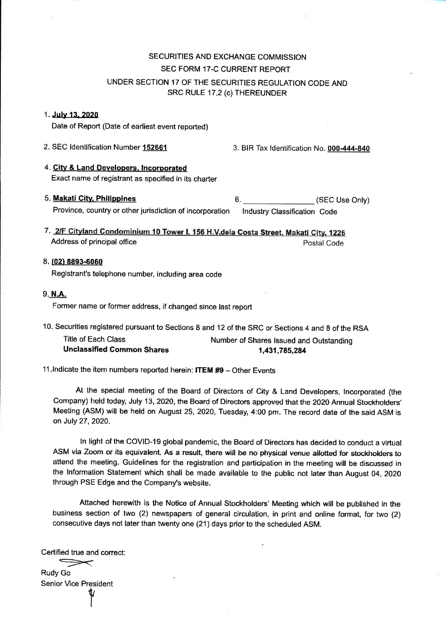## SECURITIES AND EXCHANGE COMMISSION SEC FORM 17-C CURRENT REPORT UNDER SECTION 17 OF THE SECURITIES REGULATION CODE AND SRC RULE 17.2 (c) THEREUNDER

#### 1. July 13, 2020

Date of Report (Date of earliest event reported)

2. SEC Identification Number 152661 3. BIR Tax Identification No. 000-444-840

- 4. Gity & Land Develooers. lncorporated Exact name of registrant as specified in its charter
- 5. Makati City, Philippines 6. 6. (SEC Use Only) Province, country or other jurisdiction of incorporation lndustry Classification Code
- 7. 2/F Cityland Condominium 10 Tower I, 156 H.V.dela Costa Street, Makati City, 1226 Address of principal office Postal Code
- 8. (02) 8893-6060 Registrant's telephone number, including area code
- 9. N.A.

Former name or former address, if changed since last report

10. Securities registered pursuant to Sections 8 and 12 of the SRC or Sections 4 and 8 of the RSA

Title of Each Class Number of Shares Issued and Outstanding Unclassified Common Shares 1,431,785,284

11. Indicate the item numbers reported herein: **ITEM #9** - Other Events

At the special meeting of the Board of Directors of City & Land Developers, lncorporated (the Company) held today, July 13, 2020, the Board of Directors approved that the 2020 Annual Stockholders' Meeting (ASM) will be held on August 25,2020, Tuesday, 4:00 pm. The record date of the said ASM is on July 27,2020.

ln light of the COVID-19 global pandemic, the Board of Directors has decided to conduct a virtual ASM via Zoom or its equivalent. As a result, there will be no physical venue allotted for stockholders to attend the meeting. Guidelines for the registration and participation in the meeting will be discussed in the lnformation Statement which shall be made available to the public not later than August 04,2O2O through PSE Edge and the Company's website.

Attached herewith is the Notice of Annual Stockholders' Meeting which will be published in the business section of two (2) newspapers of general circulation, in print and online format, for two (2) consecutive days not later than twenty one (21) days prior to the scheduled ASM.

Certified true and correct:

I

 $Rudv$  Go Senior Vice President  $\pmb{\psi}$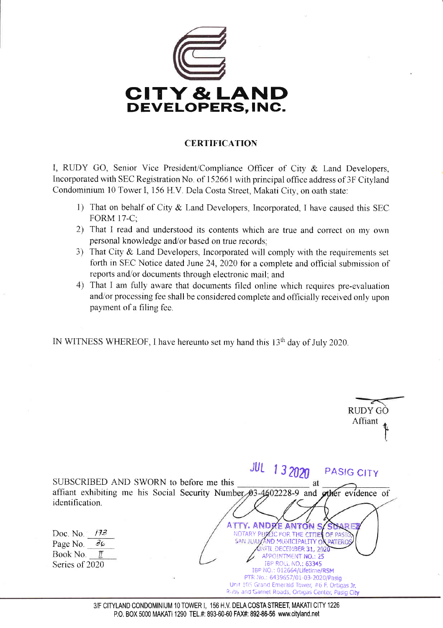

## **CERTIFICATION**

I, RUDY GO, Senior Vice President/Compliance Officer of City & Land Developers, Incorporated with SEC Registration No. of 152661 with principal office address of 3F Cityland Condominium 10 Tower I, 156 H.V. Dela Costa Street, Makati City, on oath state:

- 1) That on behalf of City & Land Developers, Incorporated, I have caused this SEC **FORM 17-C:**
- 2) That I read and understood its contents which are true and correct on my own personal knowledge and/or based on true records;
- 3) That City & Land Developers, Incorporated will comply with the requirements set forth in SEC Notice dated June 24, 2020 for a complete and official submission of reports and/or documents through electronic mail: and
- 4) That I am fully aware that documents filed online which requires pre-evaluation and/or processing fee shall be considered complete and officially received only upon payment of a filing fee.

IN WITNESS WHEREOF, I have hereunto set my hand this 13<sup>th</sup> day of July 2020.

| RUDY GC<br>Affiant                                                                                                                                                                                                                                                                                                                                                                                                                                                                                                                                                                                                                                           |
|--------------------------------------------------------------------------------------------------------------------------------------------------------------------------------------------------------------------------------------------------------------------------------------------------------------------------------------------------------------------------------------------------------------------------------------------------------------------------------------------------------------------------------------------------------------------------------------------------------------------------------------------------------------|
| <b>JUL 132020</b><br>PASIG CITY<br>SUBSCRIBED AND SWORN to before me this<br>at<br>affiant exhibiting me his Social Security Number 03-4602228-9 and other evidence of<br>identification.<br>ATTY. ANDRE ANTON S/SUAR<br>Doc. No. $/73$<br>NOTARY PUPLIC FOR THE CITIES OF PASIC<br>SAN JUAN AND MUNICIPALITY OF PATEROS<br>Page No. $\partial \phi$<br>UNITL DECEMBER 31, 2020<br>Book No. $\mathbb{Z}$<br>APPOINTMENT NO.: 25<br><b>IBP ROLL NO.: 63345</b><br>Series of 2020<br>IBP NO.: 012664/Lifetime/RSM<br>PTR No.: 6439657/01-03-2020/Pasig<br>Unit 105 Grand Emerald Tower, #6 F. Ortigas Jr.<br>Ruby and Garnet Roads, Ortigas Center, Pasig City |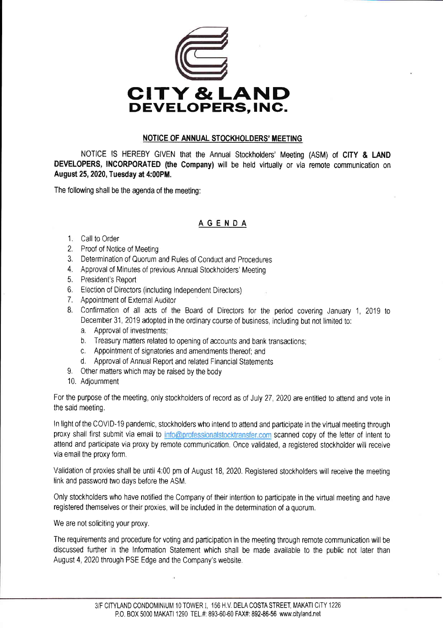

#### NOTICE OF ANNUAL STOCKHOLDERS' MEETING

NOTICE lS HEREBY GIVEN that the Annual Stockholders' Meeting (ASM) of CITY & LAND DEVELOPERS, INCORPORATED (the Company) will be held virtually or via remote communication on August 25,2020,Tuesday at 4:00PM.

The following shall be the agenda of the meeting:

## AGENDA

- 1. Cali to Order
- 2. Proof of Notice of Meeting
- 3. Determination of Quorum and Rules of Conduct and Procedures
- 4, Approval of Minutes of previous Annual Stockholders' Meeting
- 5, President's Report
- 6. Election of Directors (including Independent Directors)
- 7. Appointment of External Auditor
- 8. Confirmation of all acts of the Board of Directors for the period covering January 1,2019 to December 31, 2019 adopted in the ordinary course of business, including but not limited to:
	- a, Approval of investments;
	- b, Treasury matters related to opening of accounts and bank transactions;
	- c. Appointment of signatories and amendments thereof; and
	- d. Approval of Annual Report and related Financial Statements
- 9. Other matters which may be raised by the body
- 10. Adjournment

For the purpose of the meeting, only stockholders of record as of July 27, 2020 are entitled to attend and vote in the said meeting.

In light of the COVID-19 pandemic, stockholders who intend to attend and participate in the virtual meeting through proxy shall first submit via email to info@professionalstocktransfer.com scanned copy of the letter of intent to attend and participate via proxy by remote communication. Once validated, a registered stockholder will receive via email the proxy form.

Validation of proxies shall be until 4:00 pm of August 18, 2020. Registered stockholders will receive the meeting link and password two days before the ASM.

Only stockholders who have notified the Company of their intention to paffcipate in the virtual meeting and have registered themselves or their proxies, will be included in the determination of a quorum.

We are not soliciting your proxy.

The requirements and procedure for voting and participation in the meeting through remote communication will be discussed further in the lnformation Statement which shall be made available to the public not later than August 4, 2020 through PSE Edge and the Company's website.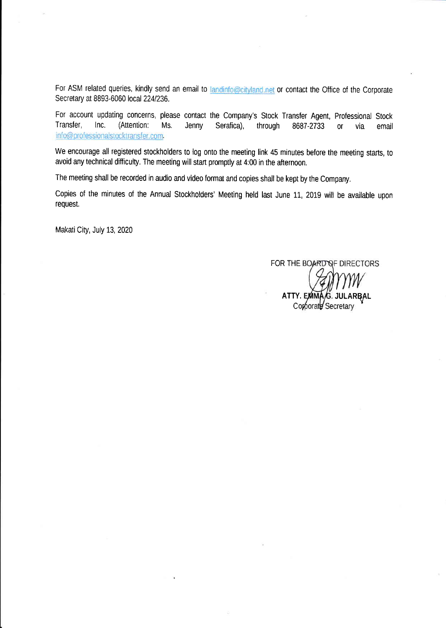For ASM related queries, kindly send an email to landinfo@cityland.net or contact the Office of the Corporate Secretary at 8893-6060 local 224/236.

For account updating concerns, please contact the Company's Stock Transfer Agent, Professional Stock Jenny Serafica), through 8687-2733 or via email Transfer, lnc. (Attention: Ms. info@professionalstocktransfer.com.

We encourage all registered stockholders to log onto the meeting link 45 minutes before the meeting starts, to avoid any technical difficulty. The meeting will start promptly at 4:00 in the afternoon.

The meeting shall be recorded in audio and video format and copies shall be kept by the Company,

Copies of the minutes of the Annual Stockholders' Meeting held last June 11, 2019 will be available upon request.

Makati City, July 13, 2020

FOR THE BOARD OF DIRECTORS

ATTY. EMMA/G. JULARBAI Corporate Secretary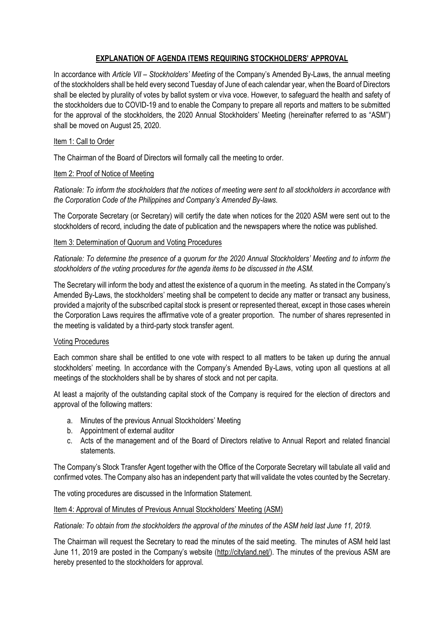## **EXPLANATION OF AGENDA ITEMS REQUIRING STOCKHOLDERS' APPROVAL**

In accordance with *Article VII – Stockholders' Meeting* of the Company's Amended By-Laws, the annual meeting of the stockholders shall be held every second Tuesday of June of each calendar year, when the Board of Directors shall be elected by plurality of votes by ballot system or viva voce. However, to safeguard the health and safety of the stockholders due to COVID-19 and to enable the Company to prepare all reports and matters to be submitted for the approval of the stockholders, the 2020 Annual Stockholders' Meeting (hereinafter referred to as "ASM") shall be moved on August 25, 2020.

### Item 1: Call to Order

The Chairman of the Board of Directors will formally call the meeting to order.

### Item 2: Proof of Notice of Meeting

*Rationale: To inform the stockholders that the notices of meeting were sent to all stockholders in accordance with the Corporation Code of the Philippines and Company's Amended By-laws.*

The Corporate Secretary (or Secretary) will certify the date when notices for the 2020 ASM were sent out to the stockholders of record, including the date of publication and the newspapers where the notice was published.

### Item 3: Determination of Quorum and Voting Procedures

*Rationale: To determine the presence of a quorum for the 2020 Annual Stockholders' Meeting and to inform the stockholders of the voting procedures for the agenda items to be discussed in the ASM.*

The Secretary will inform the body and attest the existence of a quorum in the meeting. As stated in the Company's Amended By-Laws, the stockholders' meeting shall be competent to decide any matter or transact any business, provided a majority of the subscribed capital stock is present or represented thereat, except in those cases wherein the Corporation Laws requires the affirmative vote of a greater proportion. The number of shares represented in the meeting is validated by a third-party stock transfer agent.

#### Voting Procedures

Each common share shall be entitled to one vote with respect to all matters to be taken up during the annual stockholders' meeting. In accordance with the Company's Amended By-Laws, voting upon all questions at all meetings of the stockholders shall be by shares of stock and not per capita.

At least a majority of the outstanding capital stock of the Company is required for the election of directors and approval of the following matters:

- a. Minutes of the previous Annual Stockholders' Meeting
- b. Appointment of external auditor
- c. Acts of the management and of the Board of Directors relative to Annual Report and related financial statements.

The Company's Stock Transfer Agent together with the Office of the Corporate Secretary will tabulate all valid and confirmed votes. The Company also has an independent party that will validate the votes counted by the Secretary.

The voting procedures are discussed in the Information Statement.

#### Item 4: Approval of Minutes of Previous Annual Stockholders' Meeting (ASM)

*Rationale: To obtain from the stockholders the approval of the minutes of the ASM held last June 11, 2019.*

The Chairman will request the Secretary to read the minutes of the said meeting. The minutes of ASM held last June 11, 2019 are posted in the Company's website ([http://cityland.net/\)](http://cityland.net/). The minutes of the previous ASM are hereby presented to the stockholders for approval.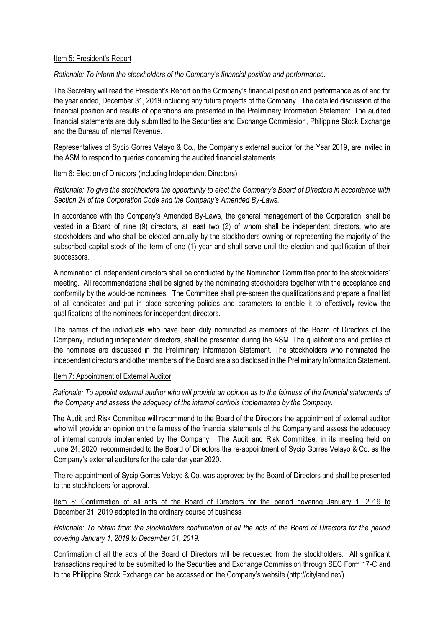#### Item 5: President's Report

### *Rationale: To inform the stockholders of the Company's financial position and performance.*

The Secretary will read the President's Report on the Company's financial position and performance as of and for the year ended, December 31, 2019 including any future projects of the Company. The detailed discussion of the financial position and results of operations are presented in the Preliminary Information Statement. The audited financial statements are duly submitted to the Securities and Exchange Commission, Philippine Stock Exchange and the Bureau of Internal Revenue.

Representatives of Sycip Gorres Velayo & Co., the Company's external auditor for the Year 2019, are invited in the ASM to respond to queries concerning the audited financial statements.

#### Item 6: Election of Directors (including Independent Directors)

*Rationale: To give the stockholders the opportunity to elect the Company's Board of Directors in accordance with Section 24 of the Corporation Code and the Company's Amended By-Laws.*

In accordance with the Company's Amended By-Laws, the general management of the Corporation, shall be vested in a Board of nine (9) directors, at least two (2) of whom shall be independent directors, who are stockholders and who shall be elected annually by the stockholders owning or representing the majority of the subscribed capital stock of the term of one (1) year and shall serve until the election and qualification of their successors.

A nomination of independent directors shall be conducted by the Nomination Committee prior to the stockholders' meeting. All recommendations shall be signed by the nominating stockholders together with the acceptance and conformity by the would-be nominees. The Committee shall pre-screen the qualifications and prepare a final list of all candidates and put in place screening policies and parameters to enable it to effectively review the qualifications of the nominees for independent directors.

The names of the individuals who have been duly nominated as members of the Board of Directors of the Company, including independent directors, shall be presented during the ASM. The qualifications and profiles of the nominees are discussed in the Preliminary Information Statement. The stockholders who nominated the independent directors and other members of the Board are also disclosed in the Preliminary Information Statement.

#### Item 7: Appointment of External Auditor

*Rationale: To appoint external auditor who will provide an opinion as to the fairness of the financial statements of the Company and assess the adequacy of the internal controls implemented by the Company.*

The Audit and Risk Committee will recommend to the Board of the Directors the appointment of external auditor who will provide an opinion on the fairness of the financial statements of the Company and assess the adequacy of internal controls implemented by the Company. The Audit and Risk Committee, in its meeting held on June 24, 2020, recommended to the Board of Directors the re-appointment of Sycip Gorres Velayo & Co. as the Company's external auditors for the calendar year 2020.

The re-appointment of Sycip Gorres Velayo & Co. was approved by the Board of Directors and shall be presented to the stockholders for approval.

Item 8: Confirmation of all acts of the Board of Directors for the period covering January 1, 2019 to December 31, 2019 adopted in the ordinary course of business

*Rationale: To obtain from the stockholders confirmation of all the acts of the Board of Directors for the period covering January 1, 2019 to December 31, 2019.*

Confirmation of all the acts of the Board of Directors will be requested from the stockholders. All significant transactions required to be submitted to the Securities and Exchange Commission through SEC Form 17-C and to the Philippine Stock Exchange can be accessed on the Company's website (http://cityland.net/).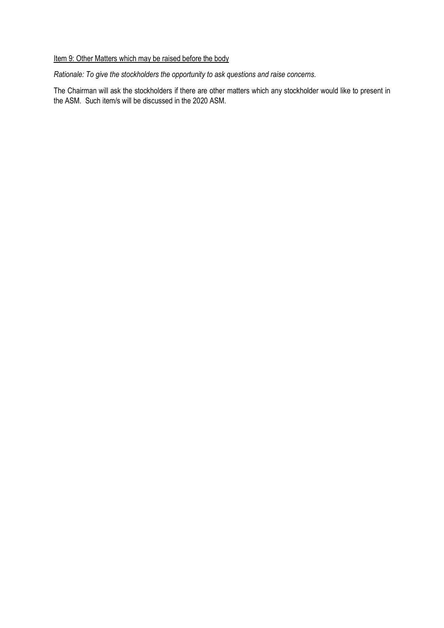## Item 9: Other Matters which may be raised before the body

*Rationale: To give the stockholders the opportunity to ask questions and raise concerns.*

The Chairman will ask the stockholders if there are other matters which any stockholder would like to present in the ASM. Such item/s will be discussed in the 2020 ASM.